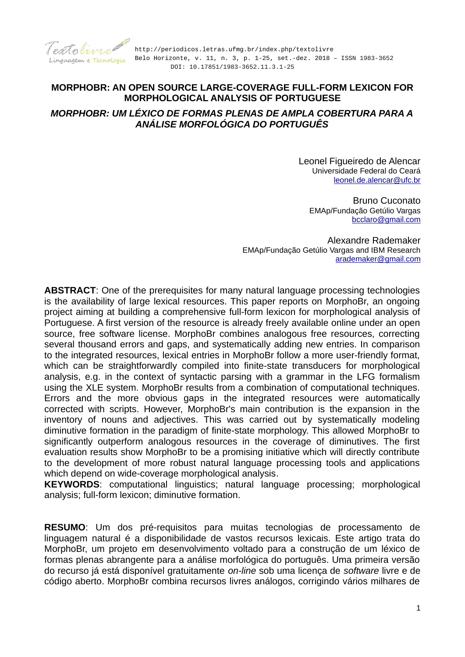

## **MORPHOBR: AN OPEN SOURCE LARGE-COVERAGE FULL-FORM LEXICON FOR MORPHOLOGICAL ANALYSIS OF PORTUGUESE**

## *MORPHOBR: UM LÉXICO DE FORMAS PLENAS DE AMPLA COBERTURA PARA A ANÁLISE MORFOLÓGICA DO PORTUGUÊS*

Leonel Figueiredo de Alencar Universidade Federal do Ceará [leonel.de.alencar@ufc.br](mailto:leonel.de.alencar@ufc.br)

Bruno Cuconato EMAp/Fundação Getúlio Vargas [bcclaro@gmail.com](mailto:bcclaro@gmail.com)

Alexandre Rademaker EMAp/Fundação Getúlio Vargas and IBM Research [arademaker@gmail.com](mailto:arademaker@gmail.com)

**ABSTRACT**: One of the prerequisites for many natural language processing technologies is the availability of large lexical resources. This paper reports on MorphoBr, an ongoing project aiming at building a comprehensive full-form lexicon for morphological analysis of Portuguese. A first version of the resource is already freely available online under an open source, free software license. MorphoBr combines analogous free resources, correcting several thousand errors and gaps, and systematically adding new entries. In comparison to the integrated resources, lexical entries in MorphoBr follow a more user-friendly format, which can be straightforwardly compiled into finite-state transducers for morphological analysis, e.g. in the context of syntactic parsing with a grammar in the LFG formalism using the XLE system. MorphoBr results from a combination of computational techniques. Errors and the more obvious gaps in the integrated resources were automatically corrected with scripts. However, MorphoBr's main contribution is the expansion in the inventory of nouns and adjectives. This was carried out by systematically modeling diminutive formation in the paradigm of finite-state morphology. This allowed MorphoBr to significantly outperform analogous resources in the coverage of diminutives. The first evaluation results show MorphoBr to be a promising initiative which will directly contribute to the development of more robust natural language processing tools and applications which depend on wide-coverage morphological analysis.

**KEYWORDS**: computational linguistics; natural language processing; morphological analysis; full-form lexicon; diminutive formation.

**RESUMO**: Um dos pré-requisitos para muitas tecnologias de processamento de linguagem natural é a disponibilidade de vastos recursos lexicais. Este artigo trata do MorphoBr, um projeto em desenvolvimento voltado para a construção de um léxico de formas plenas abrangente para a análise morfológica do português. Uma primeira versão do recurso já está disponível gratuitamente *on-line* sob uma licença de *software* livre e de código aberto. MorphoBr combina recursos livres análogos, corrigindo vários milhares de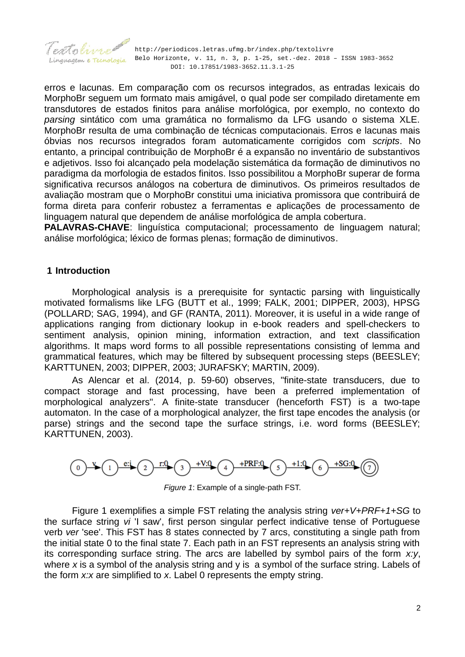

 http://periodicos.letras.ufmg.br/index.php/textolivre guagem e Tecnologia Belo Horizonte, v. 11, n. 3, p. 1-25, set.-dez. 2018 - ISSN 1983-3652 DOI: 10.17851/1983-3652.11.3.1-25

erros e lacunas. Em comparação com os recursos integrados, as entradas lexicais do MorphoBr seguem um formato mais amigável, o qual pode ser compilado diretamente em transdutores de estados finitos para análise morfológica, por exemplo, no contexto do *parsing* sintático com uma gramática no formalismo da LFG usando o sistema XLE. MorphoBr resulta de uma combinação de técnicas computacionais. Erros e lacunas mais óbvias nos recursos integrados foram automaticamente corrigidos com *scripts*. No entanto, a principal contribuição de MorphoBr é a expansão no inventário de substantivos e adjetivos. Isso foi alcançado pela modelação sistemática da formação de diminutivos no paradigma da morfologia de estados finitos. Isso possibilitou a MorphoBr superar de forma significativa recursos análogos na cobertura de diminutivos. Os primeiros resultados de avaliação mostram que o MorphoBr constitui uma iniciativa promissora que contribuirá de forma direta para conferir robustez a ferramentas e aplicações de processamento de linguagem natural que dependem de análise morfológica de ampla cobertura.

**PALAVRAS-CHAVE:** linguística computacional: processamento de linguagem natural: análise morfológica; léxico de formas plenas; formação de diminutivos.

### **1 Introduction**

Morphological analysis is a prerequisite for syntactic parsing with linguistically motivated formalisms like LFG (BUTT et al., 1999; FALK, 2001; DIPPER, 2003), HPSG (POLLARD; SAG, 1994), and GF (RANTA, 2011). Moreover, it is useful in a wide range of applications ranging from dictionary lookup in e-book readers and spell-checkers to sentiment analysis, opinion mining, information extraction, and text classification algorithms. It maps word forms to all possible representations consisting of lemma and grammatical features, which may be filtered by subsequent processing steps (BEESLEY; KARTTUNEN, 2003; DIPPER, 2003; JURAFSKY; MARTIN, 2009).

As Alencar et al. (2014, p. 59-60) observes, "finite-state transducers, due to compact storage and fast processing, have been a preferred implementation of morphological analyzers''. A finite-state transducer (henceforth FST) is a two-tape automaton. In the case of a morphological analyzer, the first tape encodes the analysis (or parse) strings and the second tape the surface strings, i.e. word forms (BEESLEY; KARTTUNEN, 2003).



<span id="page-1-0"></span>*Figure 1*: Example of a single-path FST.

Figure [1](#page-1-0) exemplifies a simple FST relating the analysis string *ver+V+PRF+1+SG* to the surface string *vi* 'I saw', first person singular perfect indicative tense of Portuguese verb *ver* 'see'. This FST has 8 states connected by 7 arcs, constituting a single path from the initial state 0 to the final state 7. Each path in an FST represents an analysis string with its corresponding surface string. The arcs are labelled by symbol pairs of the form *x:y*, where *x* is a symbol of the analysis string and y is a symbol of the surface string. Labels of the form *x:x* are simplified to *x*. Label 0 represents the empty string.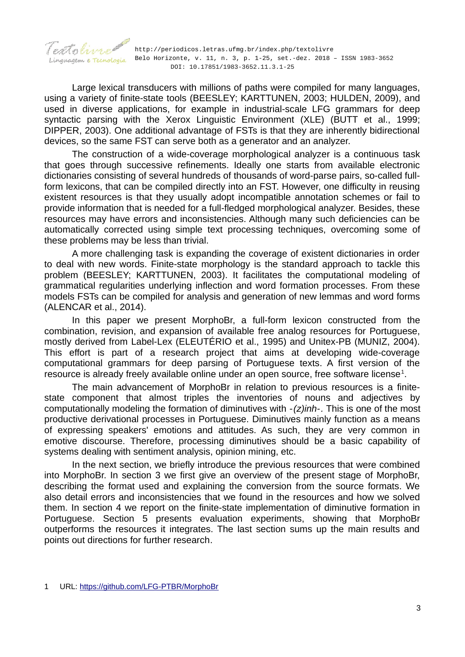

*f* entrollow http://periodicos.letras.ufmg.br/index.php/textolivre Linguagem e Tecnologia Belo Horizonte, v. 11, n. 3, p. 1-25, set.-dez. 2018 - ISSN 1983-3652 DOI: 10.17851/1983-3652.11.3.1-25

Large lexical transducers with millions of paths were compiled for many languages, using a variety of finite-state tools (BEESLEY; KARTTUNEN, 2003; HULDEN, 2009), and used in diverse applications, for example in industrial-scale LFG grammars for deep syntactic parsing with the Xerox Linguistic Environment (XLE) (BUTT et al., 1999; DIPPER, 2003). One additional advantage of FSTs is that they are inherently bidirectional devices, so the same FST can serve both as a generator and an analyzer.

The construction of a wide-coverage morphological analyzer is a continuous task that goes through successive refinements. Ideally one starts from available electronic dictionaries consisting of several hundreds of thousands of word-parse pairs, so-called fullform lexicons, that can be compiled directly into an FST. However, one difficulty in reusing existent resources is that they usually adopt incompatible annotation schemes or fail to provide information that is needed for a full-fledged morphological analyzer. Besides, these resources may have errors and inconsistencies. Although many such deficiencies can be automatically corrected using simple text processing techniques, overcoming some of these problems may be less than trivial.

A more challenging task is expanding the coverage of existent dictionaries in order to deal with new words. Finite-state morphology is the standard approach to tackle this problem (BEESLEY; KARTTUNEN, 2003). It facilitates the computational modeling of grammatical regularities underlying inflection and word formation processes. From these models FSTs can be compiled for analysis and generation of new lemmas and word forms (ALENCAR et al., 2014).

In this paper we present MorphoBr, a full-form lexicon constructed from the combination, revision, and expansion of available free analog resources for Portuguese, mostly derived from Label-Lex (ELEUTÉRIO et al., 1995) and Unitex-PB (MUNIZ, 2004). This effort is part of a research project that aims at developing wide-coverage computational grammars for deep parsing of Portuguese texts. A first version of the resource is already freely available online under an open source, free software license<sup>[1](#page-2-0)</sup>.

The main advancement of MorphoBr in relation to previous resources is a finitestate component that almost triples the inventories of nouns and adjectives by computationally modeling the formation of diminutives with *-(z)inh-.* This is one of the most productive derivational processes in Portuguese. Diminutives mainly function as a means of expressing speakers' emotions and attitudes. As such, they are very common in emotive discourse. Therefore, processing diminutives should be a basic capability of systems dealing with sentiment analysis, opinion mining, etc.

In the next section, we briefly introduce the previous resources that were combined into MorphoBr. In section 3 we first give an overview of the present stage of MorphoBr, describing the format used and explaining the conversion from the source formats. We also detail errors and inconsistencies that we found in the resources and how we solved them. In section 4 we report on the finite-state implementation of diminutive formation in Portuguese. Section 5 presents evaluation experiments, showing that MorphoBr outperforms the resources it integrates. The last section sums up the main results and points out directions for further research.

<span id="page-2-0"></span>1 URL:<https://github.com/LFG-PTBR/MorphoBr>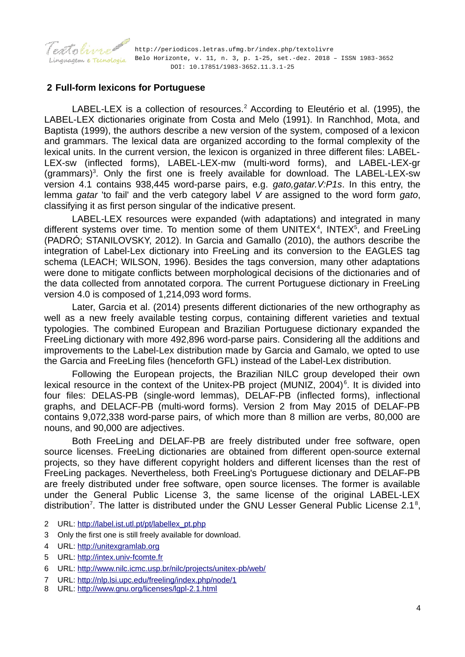

# **2 Full-form lexicons for Portuguese**

LABEL-LEX is a collection of resources.<sup>[2](#page-3-0)</sup> According to Eleutério et al. (1995), the LABEL-LEX dictionaries originate from Costa and Melo (1991). In Ranchhod, Mota, and Baptista (1999), the authors describe a new version of the system, composed of a lexicon and grammars. The lexical data are organized according to the formal complexity of the lexical units. In the current version, the lexicon is organized in three different files: LABEL-LEX-sw (inflected forms), LABEL-LEX-mw (multi-word forms), and LABEL-LEX-gr (grammars)<sup>[3](#page-3-1)</sup>. Only the first one is freely available for download. The LABEL-LEX-sw version 4.1 contains 938,445 word-parse pairs, e.g. *gato,gatar.V:P1s*. In this entry, the lemma *gatar* 'to fail' and the verb category label *V* are assigned to the word form *gato*, classifying it as first person singular of the indicative present.

LABEL-LEX resources were expanded (with adaptations) and integrated in many different systems over time. To mention some of them UNITEX $4$ , INTEX $5$ , and FreeLing (PADRÓ; STANILOVSKY, 2012). In Garcia and Gamallo (2010), the authors describe the integration of Label-Lex dictionary into FreeLing and its conversion to the EAGLES tag schema (LEACH; WILSON, 1996). Besides the tags conversion, many other adaptations were done to mitigate conflicts between morphological decisions of the dictionaries and of the data collected from annotated corpora. The current Portuguese dictionary in FreeLing version 4.0 is composed of 1,214,093 word forms.

Later, Garcia et al. (2014) presents different dictionaries of the new orthography as well as a new freely available testing corpus, containing different varieties and textual typologies. The combined European and Brazilian Portuguese dictionary expanded the FreeLing dictionary with more 492,896 word-parse pairs. Considering all the additions and improvements to the Label-Lex distribution made by Garcia and Gamalo, we opted to use the Garcia and FreeLing files (henceforth GFL) instead of the Label-Lex distribution.

Following the European projects, the Brazilian NILC group developed their own lexical resource in the context of the Unitex-PB project (MUNIZ, 2004) $<sup>6</sup>$  $<sup>6</sup>$  $<sup>6</sup>$ . It is divided into</sup> four files: DELAS-PB (single-word lemmas), DELAF-PB (inflected forms), inflectional graphs, and DELACF-PB (multi-word forms). Version 2 from May 2015 of DELAF-PB contains 9,072,338 word-parse pairs, of which more than 8 million are verbs, 80,000 are nouns, and 90,000 are adjectives.

Both FreeLing and DELAF-PB are freely distributed under free software, open source licenses. FreeLing dictionaries are obtained from different open-source external projects, so they have different copyright holders and different licenses than the rest of FreeLing packages. Nevertheless, both FreeLing's Portuguese dictionary and DELAF-PB are freely distributed under free software, open source licenses. The former is available under the General Public License 3, the same license of the original LABEL-LEX distribution<sup>[7](#page-3-5)</sup>. The latter is distributed under the GNU Lesser General Public License 2.1<sup>[8](#page-3-6)</sup>,

- <span id="page-3-0"></span>2 URL: [http://label.ist.utl.pt/pt/labellex\\_pt.php](http://label.ist.utl.pt/pt/labellex_pt.php)
- <span id="page-3-1"></span>3 Only the first one is still freely available for download.
- <span id="page-3-2"></span>4 URL: [http://unitexgramlab.org](http://unitexgramlab.org/)
- <span id="page-3-3"></span>5 URL: [http://intex.univ-fcomte.fr](http://intex.univ-fcomte.fr/)
- <span id="page-3-4"></span>6 URL:<http://www.nilc.icmc.usp.br/nilc/projects/unitex-pb/web/>
- <span id="page-3-5"></span>7 URL:<http://nlp.lsi.upc.edu/freeling/index.php/node/1>
- <span id="page-3-6"></span>8 URL:<http://www.gnu.org/licenses/lgpl-2.1.html>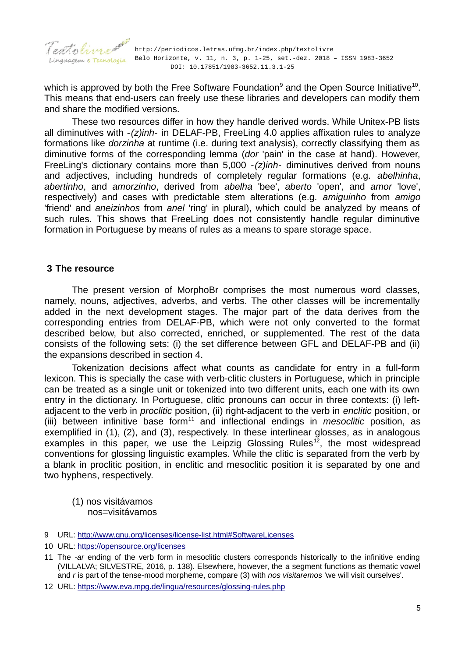

which is approved by both the Free Software Foundation $^{\circ}$  and the Open Source Initiative $^{\text{10}}$  $^{\text{10}}$  $^{\text{10}}$ . This means that end-users can freely use these libraries and developers can modify them and share the modified versions.

These two resources differ in how they handle derived words. While Unitex-PB lists all diminutives with *-(z)inh-* in DELAF-PB, FreeLing 4.0 applies affixation rules to analyze formations like *dorzinha* at runtime (i.e. during text analysis), correctly classifying them as diminutive forms of the corresponding lemma (*dor* 'pain' in the case at hand). However, FreeLing's dictionary contains more than 5,000 *-(z)inh-* diminutives derived from nouns and adjectives, including hundreds of completely regular formations (e.g. *abelhinha*, *abertinho*, and *amorzinho*, derived from *abelha* 'bee', *aberto* 'open', and *amor* 'love', respectively) and cases with predictable stem alterations (e.g. *amiguinho* from *amigo* 'friend' and *aneizinhos* from *anel* 'ring' in plural), which could be analyzed by means of such rules. This shows that FreeLing does not consistently handle regular diminutive formation in Portuguese by means of rules as a means to spare storage space.

### **3 The resource**

The present version of MorphoBr comprises the most numerous word classes, namely, nouns, adjectives, adverbs, and verbs. The other classes will be incrementally added in the next development stages. The major part of the data derives from the corresponding entries from DELAF-PB, which were not only converted to the format described below, but also corrected, enriched, or supplemented. The rest of the data consists of the following sets: (i) the set difference between GFL and DELAF-PB and (ii) the expansions described in section 4.

Tokenization decisions affect what counts as candidate for entry in a full-form lexicon. This is specially the case with verb-clitic clusters in Portuguese, which in principle can be treated as a single unit or tokenized into two different units, each one with its own entry in the dictionary. In Portuguese, clitic pronouns can occur in three contexts: (i) leftadjacent to the verb in *proclitic* position, (ii) right-adjacent to the verb in *enclitic* position, or (iii) between infinitive base form<sup>[11](#page-4-3)</sup> and inflectional endings in *mesoclitic* position, as exemplified in ([1](#page-4-0)), [\(2](#page-5-1)), and [\(3](#page-5-0)), respectively. In these interlinear glosses, as in analogous examples in this paper, we use the Leipzig Glossing Rules<sup>[12](#page-4-4)</sup>, the most widespread conventions for glossing linguistic examples. While the clitic is separated from the verb by a blank in proclitic position, in enclitic and mesoclitic position it is separated by one and two hyphens, respectively.

<span id="page-4-0"></span>(1) nos visitávamos nos=visitávamos

<span id="page-4-1"></span><sup>9</sup> URL:<http://www.gnu.org/licenses/license-list.html#SoftwareLicenses>

<span id="page-4-2"></span><sup>10</sup> URL:<https://opensource.org/licenses>

<span id="page-4-3"></span><sup>11</sup> The *-ar* ending of the verb form in mesoclitic clusters corresponds historically to the infinitive ending (VILLALVA; SILVESTRE, 2016, p. 138). Elsewhere, however, the *a* segment functions as thematic vowel and *r* is part of the tense-mood morpheme, compare ([3\)](#page-5-0) with *nos visitaremos* 'we will visit ourselves'.

<span id="page-4-4"></span><sup>12</sup> URL:<https://www.eva.mpg.de/lingua/resources/glossing-rules.php>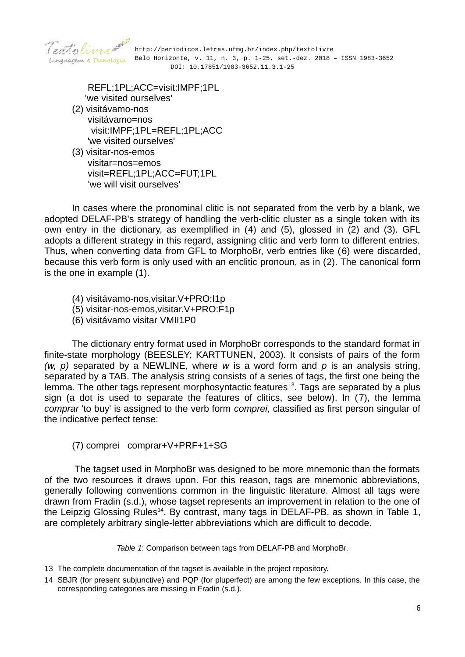

 $\int$   $\mathbb{R}$   $\mathbb{R}$   $\mathbb{R}$   $\mathbb{R}$   $\mathbb{R}$   $\mathbb{R}$   $\mathbb{R}$   $\mathbb{R}$   $\mathbb{R}$   $\mathbb{R}$   $\mathbb{R}$   $\mathbb{R}$   $\mathbb{R}$   $\mathbb{R}$   $\mathbb{R}$   $\mathbb{R}$   $\mathbb{R}$   $\mathbb{R}$   $\mathbb{R}$   $\mathbb{R}$   $\mathbb{R}$   $\mathbb{R}$   $\mathbb{R}$   $\mathbb{R}$  guagem e Tecnologia Belo Horizonte, v. 11, n. 3, p. 1-25, set.-dez. 2018 - ISSN 1983-3652 DOI: 10.17851/1983-3652.11.3.1-25

> REFL;1PL;ACC=visit:IMPF;1PL 'we visited ourselves'

- <span id="page-5-1"></span>(2) visitávamo-nos visitávamo=nos visit:IMPF;1PL=REFL;1PL;ACC 'we visited ourselves'
- <span id="page-5-0"></span>(3) visitar-nos-emos visitar=nos=emos visit=REFL;1PL;ACC=FUT;1PL 'we will visit ourselves'

In cases where the pronominal clitic is not separated from the verb by a blank, we adopted DELAF-PB's strategy of handling the verb-clitic cluster as a single token with its own entry in the dictionary, as exemplified in [\(4](#page-5-6)) and ([5](#page-5-5)), glossed in [\(2](#page-5-1)) and [\(3](#page-5-0)). GFL adopts a different strategy in this regard, assigning clitic and verb form to different entries. Thus, when converting data from GFL to MorphoBr, verb entries like ([6](#page-5-4)) were discarded, because this verb form is only used with an enclitic pronoun, as in ([2](#page-5-1)). The canonical form is the one in example [\(1](#page-4-0)).

- <span id="page-5-6"></span>(4) visitávamo-nos,visitar.V+PRO:I1p
- <span id="page-5-5"></span>(5) visitar-nos-emos,visitar.V+PRO:F1p
- <span id="page-5-4"></span>(6) visitávamo visitar VMII1P0

The dictionary entry format used in MorphoBr corresponds to the standard format in finite-state morphology (BEESLEY; KARTTUNEN, 2003). It consists of pairs of the form *(w, p)* separated by a NEWLINE, where *w* is a word form and *p* is an analysis string, separated by a TAB. The analysis string consists of a series of tags, the first one being the lemma. The other tags represent morphosyntactic features<sup>[13](#page-5-7)</sup>. Tags are separated by a plus sign (a dot is used to separate the features of clitics, see below). In ([7](#page-5-3)), the lemma *comprar* 'to buy' is assigned to the verb form *comprei*, classified as first person singular of the indicative perfect tense:

<span id="page-5-3"></span>(7) comprei comprar+V+PRF+1+SG

 The tagset used in MorphoBr was designed to be more mnemonic than the formats of the two resources it draws upon. For this reason, tags are mnemonic abbreviations, generally following conventions common in the linguistic literature. Almost all tags were drawn from Fradin (s.d.), whose tagset represents an improvement in relation to the one of the Leipzig Glossing Rules<sup>[14](#page-5-8)</sup>. By contrast, many tags in DELAF-PB, as shown in Table [1](#page-5-2), are completely arbitrary single-letter abbreviations which are difficult to decode.

<span id="page-5-2"></span>*Table 1*: Comparison between tags from DELAF-PB and MorphoBr.

- <span id="page-5-7"></span>13 The complete documentation of the tagset is available in the project repository.
- <span id="page-5-8"></span>14 SBJR (for present subjunctive) and PQP (for pluperfect) are among the few exceptions. In this case, the corresponding categories are missing in Fradin (s.d.).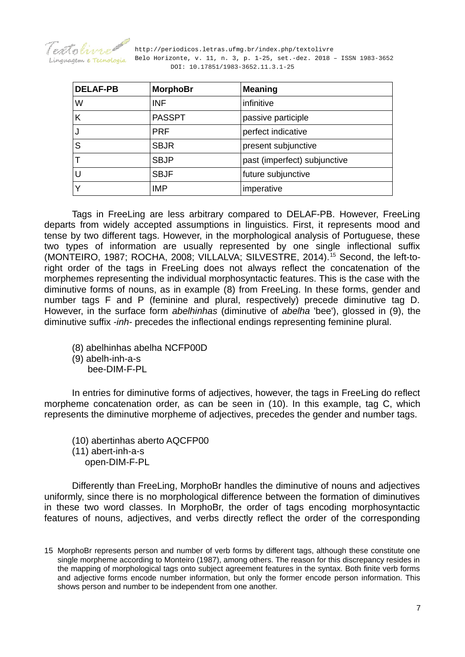

 http://periodicos.letras.ufmg.br/index.php/textolivre wagem e Tecnologia Belo Horizonte, v. 11, n. 3, p. 1-25, set.-dez. 2018 - ISSN 1983-3652 DOI: 10.17851/1983-3652.11.3.1-25

| <b>DELAF-PB</b> | <b>MorphoBr</b> | <b>Meaning</b>               |
|-----------------|-----------------|------------------------------|
| W               | <b>INF</b>      | infinitive                   |
| K               | <b>PASSPT</b>   | passive participle           |
| J               | <b>PRF</b>      | perfect indicative           |
| S               | <b>SBJR</b>     | present subjunctive          |
|                 | <b>SBJP</b>     | past (imperfect) subjunctive |
| U               | <b>SBJF</b>     | future subjunctive           |
| $\checkmark$    | <b>IMP</b>      | imperative                   |

Tags in FreeLing are less arbitrary compared to DELAF-PB. However, FreeLing departs from widely accepted assumptions in linguistics. First, it represents mood and tense by two different tags. However, in the morphological analysis of Portuguese, these two types of information are usually represented by one single inflectional suffix (MONTEIRO, 1987; ROCHA, 2008; VILLALVA; SILVESTRE, 2014).<sup>[15](#page-6-3)</sup> Second, the left-toright order of the tags in FreeLing does not always reflect the concatenation of the morphemes representing the individual morphosyntactic features. This is the case with the diminutive forms of nouns, as in example ([8](#page-6-2)) from FreeLing. In these forms, gender and number tags F and P (feminine and plural, respectively) precede diminutive tag D. However, in the surface form *abelhinhas* (diminutive of *abelha* 'bee'), glossed in ([9\)](#page-6-1), the diminutive suffix *-inh-* precedes the inflectional endings representing feminine plural.

- <span id="page-6-2"></span>(8) abelhinhas abelha NCFP00D
- <span id="page-6-1"></span>(9) abelh-inh-a-s

bee-DIM-F-PL

In entries for diminutive forms of adjectives, however, the tags in FreeLing do reflect morpheme concatenation order, as can be seen in ([10\)](#page-6-0). In this example, tag C, which represents the diminutive morpheme of adjectives, precedes the gender and number tags.

<span id="page-6-0"></span>(10) abertinhas aberto AQCFP00 (11) abert-inh-a-s open-DIM-F-PL

Differently than FreeLing, MorphoBr handles the diminutive of nouns and adjectives uniformly, since there is no morphological difference between the formation of diminutives in these two word classes. In MorphoBr, the order of tags encoding morphosyntactic features of nouns, adjectives, and verbs directly reflect the order of the corresponding

<span id="page-6-3"></span><sup>15</sup> MorphoBr represents person and number of verb forms by different tags, although these constitute one single morpheme according to Monteiro (1987), among others. The reason for this discrepancy resides in the mapping of morphological tags onto subject agreement features in the syntax. Both finite verb forms and adjective forms encode number information, but only the former encode person information. This shows person and number to be independent from one another.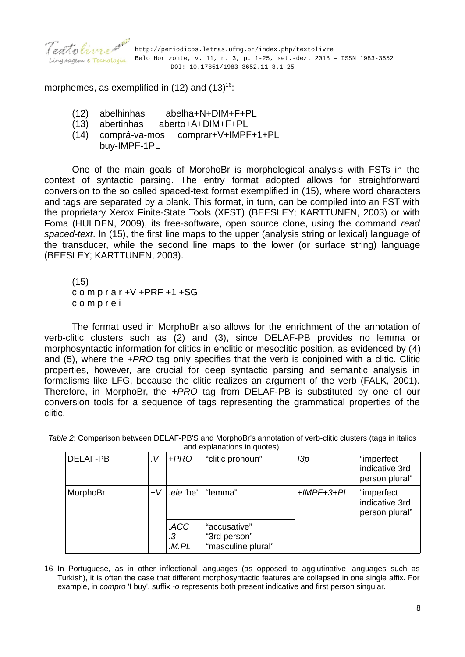

morphemes, as exemplified in [\(12\)](#page-7-2) and  $(13)^{16}$  $(13)^{16}$  $(13)^{16}$  $(13)^{16}$ :

- <span id="page-7-2"></span>(12) abelhinhas abelha+N+DIM+F+PL
- <span id="page-7-1"></span>(13) abertinhas aberto+A+DIM+F+PL
- (14) comprá-va-mos comprar+V+IMPF+1+PL buy-IMPF-1PL

One of the main goals of MorphoBr is morphological analysis with FSTs in the context of syntactic parsing. The entry format adopted allows for straightforward conversion to the so called spaced-text format exemplified in ([15\)](#page-7-0), where word characters and tags are separated by a blank. This format, in turn, can be compiled into an FST with the proprietary Xerox Finite-State Tools (XFST) (BEESLEY; KARTTUNEN, 2003) or with Foma (HULDEN, 2009), its free-software, open source clone, using the command *read spaced-text*. In ([15](#page-7-0)), the first line maps to the upper (analysis string or lexical) language of the transducer, while the second line maps to the lower (or surface string) language (BEESLEY; KARTTUNEN, 2003).

<span id="page-7-0"></span>(15) c o m p r a r +V +PRF +1 +SG c o m p r e i

The format used in MorphoBr also allows for the enrichment of the annotation of verb-clitic clusters such as [\(2](#page-5-1)) and ([3\)](#page-5-0), since DELAF-PB provides no lemma or morphosyntactic information for clitics in enclitic or mesoclitic position, as evidenced by ([4\)](#page-5-6) and [\(5](#page-5-5)), where the *+PRO* tag only specifies that the verb is conjoined with a clitic. Clitic properties, however, are crucial for deep syntactic parsing and semantic analysis in formalisms like LFG, because the clitic realizes an argument of the verb (FALK, 2001). Therefore, in MorphoBr, the *+PRO* tag from DELAF-PB is substituted by one of our conversion tools for a sequence of tags representing the grammatical properties of the clitic.

*Table 2*: Comparison between DELAF-PB'S and MorphoBr's annotation of verb-clitic clusters (tags in italics and explanations in quotes).

<span id="page-7-4"></span>

|                 |      |                     | and explainations in guotes).                      |              |                                                |
|-----------------|------|---------------------|----------------------------------------------------|--------------|------------------------------------------------|
| <b>DELAF-PB</b> | V    | $+PRO$              | "clitic pronoun"                                   | 13p          | "imperfect<br>indicative 3rd<br>person plural" |
| MorphoBr        | $+V$ | ele 'he'.           | "lemma"                                            | $+IMPF+3+PL$ | "imperfect<br>indicative 3rd<br>person plural" |
|                 |      | .ACC<br>.3<br>.M.PL | "accusative"<br>"3rd person"<br>"masculine plural" |              |                                                |

<span id="page-7-3"></span>16 In Portuguese, as in other inflectional languages (as opposed to agglutinative languages such as Turkish), it is often the case that different morphosyntactic features are collapsed in one single affix. For example, in *compro* 'I buy', suffix -*o* represents both present indicative and first person singular.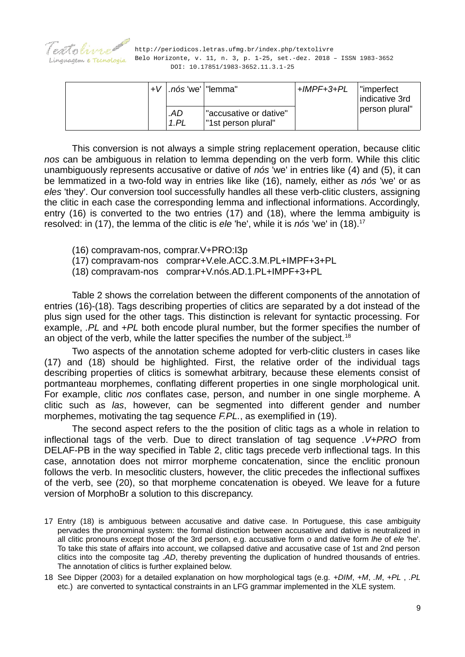

 http://periodicos.letras.ufmg.br/index.php/textolivre guagem e Tecnologia Belo Horizonte, v. 11, n. 3, p. 1-25, set.-dez. 2018 - ISSN 1983-3652 DOI: 10.17851/1983-3652.11.3.1-25

| $+V$ | $\lfloor$ .nós 'we' $\rfloor$ "lemma" |                                               | $+IMPF+3+PL$ | "imperfect<br>indicative 3rd |
|------|---------------------------------------|-----------------------------------------------|--------------|------------------------------|
|      | .AD<br>1.PL                           | "accusative or dative"<br>"1st person plural" |              | person plural"               |

This conversion is not always a simple string replacement operation, because clitic *nos* can be ambiguous in relation to lemma depending on the verb form. While this clitic unambiguously represents accusative or dative of *nós* 'we' in entries like ([4\)](#page-5-6) and ([5\)](#page-5-5), it can be lemmatized in a two-fold way in entries like like [\(16\)](#page-8-2), namely, either as *nós* 'we' or as *eles* 'they'. Our conversion tool successfully handles all these verb-clitic clusters, assigning the clitic in each case the corresponding lemma and inflectional informations. Accordingly, entry ([16](#page-8-2)) is converted to the two entries ([17](#page-8-1)) and ([18](#page-8-0)), where the lemma ambiguity is resolved: in [\(17\)](#page-8-1), the lemma of the clitic is *ele* 'he', while it is *nós* 'we' in [\(18\)](#page-8-0).<sup>[17](#page-8-3)</sup>

- <span id="page-8-2"></span>(16) compravam-nos, comprar.V+PRO:I3p
- <span id="page-8-1"></span>(17) compravam-nos comprar+V.ele.ACC.3.M.PL+IMPF+3+PL
- <span id="page-8-0"></span>(18) compravam-nos comprar+V.nós.AD.1.PL+IMPF+3+PL

Table [2](#page-7-4) shows the correlation between the different components of the annotation of entries [\(16\)](#page-8-2)-([18](#page-8-0)). Tags describing properties of clitics are separated by a dot instead of the plus sign used for the other tags. This distinction is relevant for syntactic processing. For example, *.PL* and *+PL* both encode plural number, but the former specifies the number of an object of the verb, while the latter specifies the number of the subject.<sup>[18](#page-8-4)</sup>

Two aspects of the annotation scheme adopted for verb-clitic clusters in cases like ([17](#page-8-1)) and [\(18\)](#page-8-0) should be highlighted. First, the relative order of the individual tags describing properties of clitics is somewhat arbitrary, because these elements consist of portmanteau morphemes, conflating different properties in one single morphological unit. For example, clitic *nos* conflates case, person, and number in one single morpheme. A clitic such as *las*, however, can be segmented into different gender and number morphemes, motivating the tag sequence *F.PL.*, as exemplified in ([19](#page-9-1)).

The second aspect refers to the the position of clitic tags as a whole in relation to inflectional tags of the verb. Due to direct translation of tag sequence *.V+PRO* from DELAF-PB in the way specified in Table [2](#page-7-4), clitic tags precede verb inflectional tags. In this case, annotation does not mirror morpheme concatenation, since the enclitic pronoun follows the verb. In mesoclitic clusters, however, the clitic precedes the inflectional suffixes of the verb, see [\(20\)](#page-9-0), so that morpheme concatenation is obeyed. We leave for a future version of MorphoBr a solution to this discrepancy.

- <span id="page-8-3"></span>17 Entry [\(18](#page-8-0)) is ambiguous between accusative and dative case. In Portuguese, this case ambiguity pervades the pronominal system: the formal distinction between accusative and dative is neutralized in all clitic pronouns except those of the 3rd person, e.g. accusative form *o* and dative form *lhe* of *ele* 'he'. To take this state of affairs into account, we collapsed dative and accusative case of 1st and 2nd person clitics into the composite tag *.AD*, thereby preventing the duplication of hundred thousands of entries. The annotation of clitics is further explained below.
- <span id="page-8-4"></span>18 See Dipper (2003) for a detailed explanation on how morphological tags (e.g. *+DIM*, *+M*, *.M*, *+PL* , *.PL* etc.) are converted to syntactical constraints in an LFG grammar implemented in the XLE system.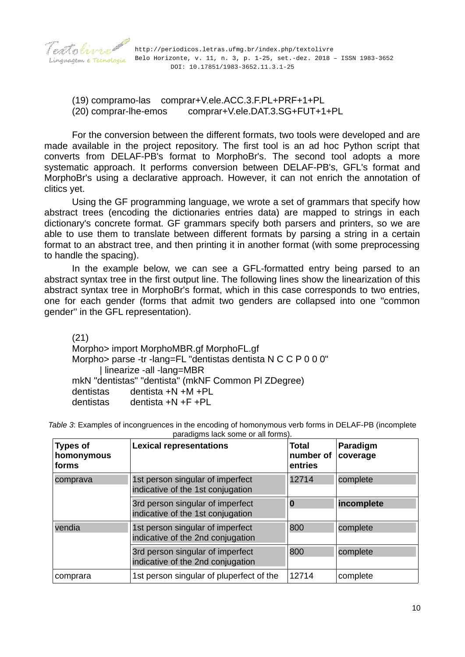# <span id="page-9-1"></span><span id="page-9-0"></span>(19) compramo-las comprar+V.ele.ACC.3.F.PL+PRF+1+PL (20) comprar-lhe-emos comprar+V.ele.DAT.3.SG+FUT+1+PL

For the conversion between the different formats, two tools were developed and are made available in the project repository. The first tool is an ad hoc Python script that converts from DELAF-PB's format to MorphoBr's. The second tool adopts a more systematic approach. It performs conversion between DELAF-PB's, GFL's format and MorphoBr's using a declarative approach. However, it can not enrich the annotation of clitics yet.

Using the GF programming language, we wrote a set of grammars that specify how abstract trees (encoding the dictionaries entries data) are mapped to strings in each dictionary's concrete format. GF grammars specify both parsers and printers, so we are able to use them to translate between different formats by parsing a string in a certain format to an abstract tree, and then printing it in another format (with some preprocessing to handle the spacing).

In the example below, we can see a GFL-formatted entry being parsed to an abstract syntax tree in the first output line. The following lines show the linearization of this abstract syntax tree in MorphoBr's format, which in this case corresponds to two entries, one for each gender (forms that admit two genders are collapsed into one "common gender'' in the GFL representation).

(21)

Morpho> import MorphoMBR.gf MorphoFL.gf Morpho> parse -tr -lang=FL "dentistas dentista N C C P 0 0 0" | linearize -all -lang=MBR mkN "dentistas" "dentista" (mkNF Common Pl ZDegree) dentistas dentista +N +M +PL dentistas dentista +N +F +PL

| <b>Types of</b><br>homonymous<br>forms | <b>Lexical representations</b>                                        | <b>Total</b><br>number of<br>entries | Paradigm<br>coverage |  |
|----------------------------------------|-----------------------------------------------------------------------|--------------------------------------|----------------------|--|
| comprava                               | 1st person singular of imperfect<br>indicative of the 1st conjugation | 12714                                | complete             |  |
|                                        | 3rd person singular of imperfect<br>indicative of the 1st conjugation | O                                    | incomplete           |  |
| vendia                                 | 1st person singular of imperfect<br>indicative of the 2nd conjugation | 800                                  | complete             |  |
|                                        | 3rd person singular of imperfect<br>indicative of the 2nd conjugation | 800                                  | complete             |  |
| comprara                               | 1st person singular of pluperfect of the                              | 12714                                | complete             |  |

<span id="page-9-2"></span>*Table 3*: Examples of incongruences in the encoding of homonymous verb forms in DELAF-PB (incomplete paradigms lack some or all forms).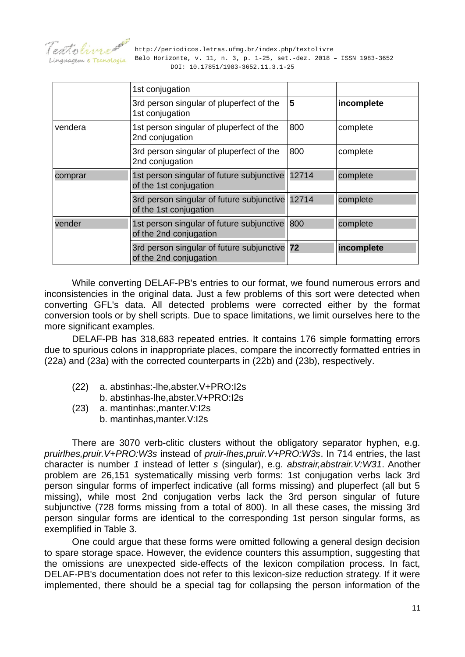

*f* earth the multiperiodicos.letras.ufmg.br/index.php/textolivre guagem e Tecnologia Belo Horizonte, v. 11, n. 3, p. 1-25, set.-dez. 2018 - ISSN 1983-3652 DOI: 10.17851/1983-3652.11.3.1-25

|         | 1st conjugation                                                           |       |            |
|---------|---------------------------------------------------------------------------|-------|------------|
|         | 3rd person singular of pluperfect of the<br>1st conjugation               | 5     | incomplete |
| vendera | 1st person singular of pluperfect of the<br>2nd conjugation               | 800   | complete   |
|         | 3rd person singular of pluperfect of the<br>2nd conjugation               | 800   | complete   |
| comprar | 1st person singular of future subjunctive<br>of the 1st conjugation       | 12714 | complete   |
|         | 3rd person singular of future subjunctive 12714<br>of the 1st conjugation |       | complete   |
| vender  | 1st person singular of future subjunctive<br>of the 2nd conjugation       | 800   | complete   |
|         | 3rd person singular of future subjunctive 72<br>of the 2nd conjugation    |       | incomplete |

While converting DELAF-PB's entries to our format, we found numerous errors and inconsistencies in the original data. Just a few problems of this sort were detected when converting GFL's data. All detected problems were corrected either by the format conversion tools or by shell scripts. Due to space limitations, we limit ourselves here to the more significant examples.

DELAF-PB has 318,683 repeated entries. It contains 176 simple formatting errors due to spurious colons in inappropriate places, compare the incorrectly formatted entries in ([22](#page-10-1)a) and [\(23a](#page-10-0)) with the corrected counterparts in ([22](#page-10-1)b) and [\(23b](#page-10-0)), respectively.

- <span id="page-10-1"></span>(22) a. abstinhas:-lhe,abster.V+PRO:I2s
	- b. abstinhas-lhe,abster.V+PRO:I2s
- <span id="page-10-0"></span>(23) a. mantinhas:,manter.V:I2s b. mantinhas,manter.V:I2s

There are 3070 verb-clitic clusters without the obligatory separator hyphen, e.g. *pruirlhes,pruir.V+PRO:W3s* instead of *pruir-lhes,pruir.V+PRO:W3s*. In 714 entries, the last character is number *1* instead of letter *s* (singular), e.g. *abstrair,abstrair.V:W31*. Another problem are 26,151 systematically missing verb forms: 1st conjugation verbs lack 3rd person singular forms of imperfect indicative (all forms missing) and pluperfect (all but 5 missing), while most 2nd conjugation verbs lack the 3rd person singular of future subjunctive (728 forms missing from a total of 800). In all these cases, the missing 3rd person singular forms are identical to the corresponding 1st person singular forms, as exemplified in Table [3](#page-9-2).

One could argue that these forms were omitted following a general design decision to spare storage space. However, the evidence counters this assumption, suggesting that the omissions are unexpected side-effects of the lexicon compilation process. In fact, DELAF-PB's documentation does not refer to this lexicon-size reduction strategy. If it were implemented, there should be a special tag for collapsing the person information of the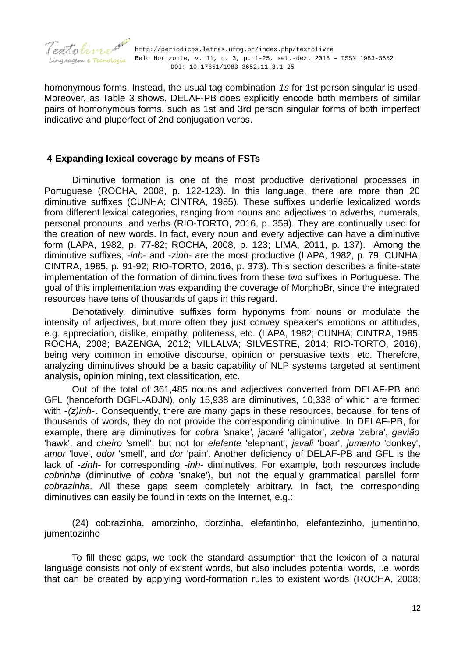

homonymous forms. Instead, the usual tag combination *1s* for 1st person singular is used. Moreover, as Table [3](#page-9-2) shows, DELAF-PB does explicitly encode both members of similar pairs of homonymous forms, such as 1st and 3rd person singular forms of both imperfect indicative and pluperfect of 2nd conjugation verbs.

## **4 Expanding lexical coverage by means of FSTs**

Diminutive formation is one of the most productive derivational processes in Portuguese (ROCHA, 2008, p. 122-123). In this language, there are more than 20 diminutive suffixes (CUNHA; CINTRA, 1985). These suffixes underlie lexicalized words from different lexical categories, ranging from nouns and adjectives to adverbs, numerals, personal pronouns, and verbs (RIO-TORTO, 2016, p. 359). They are continually used for the creation of new words. In fact, every noun and every adjective can have a diminutive form (LAPA, 1982, p. 77-82; ROCHA, 2008, p. 123; LIMA, 2011, p. 137). Among the diminutive suffixes, -*inh*- and -*zinh*- are the most productive (LAPA, 1982, p. 79; CUNHA; CINTRA, 1985, p. 91-92; RIO-TORTO, 2016, p. 373). This section describes a finite-state implementation of the formation of diminutives from these two suffixes in Portuguese. The goal of this implementation was expanding the coverage of MorphoBr, since the integrated resources have tens of thousands of gaps in this regard.

Denotatively, diminutive suffixes form hyponyms from nouns or modulate the intensity of adjectives, but more often they just convey speaker's emotions or attitudes, e.g. appreciation, dislike, empathy, politeness, etc. (LAPA, 1982; CUNHA; CINTRA, 1985; ROCHA, 2008; BAZENGA, 2012; VILLALVA; SILVESTRE, 2014; RIO-TORTO, 2016), being very common in emotive discourse, opinion or persuasive texts, etc. Therefore, analyzing diminutives should be a basic capability of NLP systems targeted at sentiment analysis, opinion mining, text classification, etc.

Out of the total of 361,485 nouns and adjectives converted from DELAF-PB and GFL (henceforth DGFL-ADJN), only 15,938 are diminutives, 10,338 of which are formed with *-(z)inh-*. Consequently, there are many gaps in these resources, because, for tens of thousands of words, they do not provide the corresponding diminutive. In DELAF-PB, for example, there are diminutives for *cobra '*snake*'*, *jacaré* 'alligator', *zebra* 'zebra', *gavião* 'hawk', and *cheiro* 'smell', but not for *elefante* 'elephant', *javali* 'boar', *jumento* 'donkey', *amor* 'love', *odor* 'smell', and *dor* 'pain'. Another deficiency of DELAF-PB and GFL is the lack of -*zinh*- for corresponding -*inh*- diminutives. For example, both resources include *cobrinha* (diminutive of *cobra* 'snake'), but not the equally grammatical parallel form *cobrazinha.* All these gaps seem completely arbitrary. In fact, the corresponding diminutives can easily be found in texts on the Internet, e.g.:

(24) cobrazinha, amorzinho, dorzinha, elefantinho, elefantezinho, jumentinho, jumentozinho

To fill these gaps, we took the standard assumption that the lexicon of a natural language consists not only of existent words, but also includes potential words, i.e. words that can be created by applying word-formation rules to existent words (ROCHA, 2008;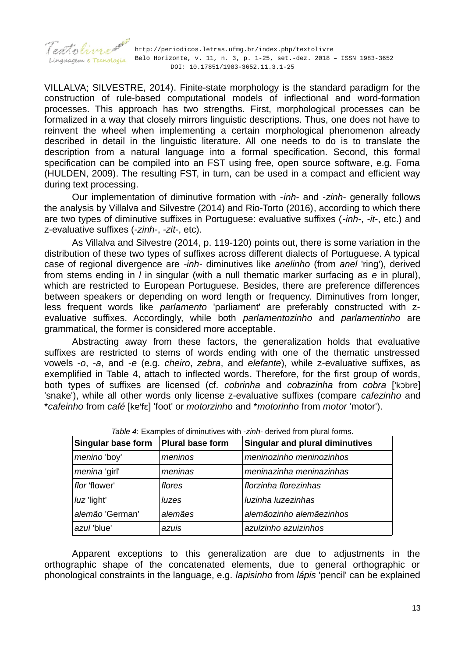

VILLALVA; SILVESTRE, 2014). Finite-state morphology is the standard paradigm for the construction of rule-based computational models of inflectional and word-formation processes. This approach has two strengths. First, morphological processes can be formalized in a way that closely mirrors linguistic descriptions. Thus, one does not have to reinvent the wheel when implementing a certain morphological phenomenon already described in detail in the linguistic literature. All one needs to do is to translate the description from a natural language into a formal specification. Second, this formal specification can be compiled into an FST using free, open source software, e.g. Foma (HULDEN, 2009). The resulting FST, in turn, can be used in a compact and efficient way during text processing.

Our implementation of diminutive formation with -*inh*- and -*zinh*- generally follows the analysis by Villalva and Silvestre (2014) and Rio-Torto (2016), according to which there are two types of diminutive suffixes in Portuguese: evaluative suffixes (*-inh-*, *-it-*, etc.) and z-evaluative suffixes (*-zinh-*, *-zit-*, etc).

As Villalva and Silvestre (2014, p. 119-120) points out, there is some variation in the distribution of these two types of suffixes across different dialects of Portuguese. A typical case of regional divergence are *-inh-* diminutives like *anelinho* (from *anel* 'ring'), derived from stems ending in *l* in singular (with a null thematic marker surfacing as *e* in plural), which are restricted to European Portuguese. Besides, there are preference differences between speakers or depending on word length or frequency. Diminutives from longer, less frequent words like *parlamento* 'parliament' are preferably constructed with zevaluative suffixes. Accordingly, while both *parlamentozinho* and *parlamentinho* are grammatical, the former is considered more acceptable.

Abstracting away from these factors, the generalization holds that evaluative suffixes are restricted to stems of words ending with one of the thematic unstressed vowels -*o*, -*a*, and -*e* (e.g. *cheiro*, *zebra*, and *elefante*), while z-evaluative suffixes, as exemplified in Table 4, attach to inflected words. Therefore, for the first group of words, both types of suffixes are licensed (cf. *cobrinha* and *cobrazinha* from *cobra* ['k bre] 'snake'), while all other words only license z-evaluative suffixes (compare *cafezinho* and \**cafeinho* from *café* [kɐ'fɛ] 'foot' or *motorzinho* and \**motorinho* from *motor* 'motor').

| Singular base form | <b>Plural base form</b> | <b>Singular and plural diminutives</b> |
|--------------------|-------------------------|----------------------------------------|
| menino 'boy'       | meninos                 | meninozinho meninozinhos               |
| menina 'girl'      | meninas                 | meninazinha meninazinhas               |
| flor 'flower'      | flores                  | florzinha florezinhas                  |
| luz 'light'        | luzes                   | luzinha luzezinhas                     |
| alemão 'German'    | alemães                 | alemãozinho alemãezinhos               |
| azul 'blue'        | azuis                   | azulzinho azuizinhos                   |

*Table 4*: Examples of diminutives with -*zinh*- derived from plural forms.

Apparent exceptions to this generalization are due to adjustments in the orthographic shape of the concatenated elements, due to general orthographic or phonological constraints in the language, e.g. *lapisinho* from *lápis* 'pencil' can be explained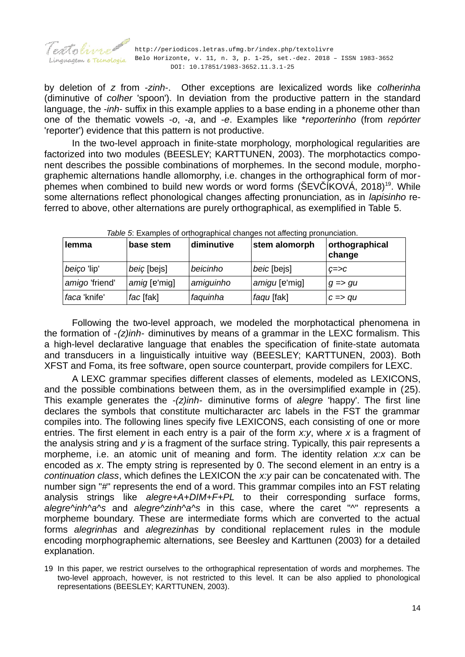

by deletion of *z* from -*zinh*-. Other exceptions are lexicalized words like *colherinha* (diminutive of *colher* 'spoon'). In deviation from the productive pattern in the standard language, the -*inh*- suffix in this example applies to a base ending in a phoneme other than one of the thematic vowels -*o*, -*a*, and -*e*. Examples like \**reporterinho* (from *repórter* 'reporter') evidence that this pattern is not productive.

In the two-level approach in finite-state morphology, morphological regularities are factorized into two modules (BEESLEY; KARTTUNEN, 2003). The morphotactics component describes the possible combinations of morphemes. In the second module, morphographemic alternations handle allomorphy, i.e. changes in the orthographical form of morphemes when combined to build new words or word forms ( $\text{\text{SEV}}\text{\text{C}}\text{\text{KOV}}\text{\text{A}}$ , 2018)<sup>[19](#page-13-1)</sup>. While some alternations reflect phonological changes affecting pronunciation, as in *lapisinho* referred to above, other alternations are purely orthographical, as exemplified in Table [5](#page-13-0).

| lemma          | base stem    | diminutive | stem alomorph | orthographical<br>change |
|----------------|--------------|------------|---------------|--------------------------|
| beiço 'lip'    | beiç [bejs]  | beicinho   | beic [bejs]   | $c = > c$                |
| amigo 'friend' | amig [e'mig] | amiguinho  | amigu [e'mig] | $q \Rightarrow qu$       |
| faca 'knife'   | fac [fak]    | faquinha   | faqu [fak]    | $c \Rightarrow qu$       |

<span id="page-13-0"></span>*Table 5*: Examples of orthographical changes not affecting pronunciation.

Following the two-level approach, we modeled the morphotactical phenomena in the formation of *-(z)inh-* diminutives by means of a grammar in the LEXC formalism. This a high-level declarative language that enables the specification of finite-state automata and transducers in a linguistically intuitive way (BEESLEY; KARTTUNEN, 2003). Both XFST and Foma, its free software, open source counterpart, provide compilers for LEXC.

A LEXC grammar specifies different classes of elements, modeled as LEXICONS, and the possible combinations between them, as in the oversimplified example in ([25](#page-14-0)). This example generates the -*(z)inh-* diminutive forms of *alegre* 'happy'. The first line declares the symbols that constitute multicharacter arc labels in the FST the grammar compiles into. The following lines specify five LEXICONS, each consisting of one or more entries. The first element in each entry is a pair of the form *x:y*, where *x* is a fragment of the analysis string and *y* is a fragment of the surface string. Typically, this pair represents a morpheme, i.e. an atomic unit of meaning and form. The identity relation *x:x* can be encoded as *x*. The empty string is represented by 0. The second element in an entry is a *continuation class*, which defines the LEXICON the *x:y* pair can be concatenated with. The number sign "#" represents the end of a word. This grammar compiles into an FST relating analysis strings like *alegre+A+DIM+F+PL* to their corresponding surface forms, *alegre^inh^a^s* and *alegre^zinh^a^s* in this case, where the caret "^" represents a morpheme boundary. These are intermediate forms which are converted to the actual forms *alegrinhas* and *alegrezinhas* by conditional replacement rules in the module encoding morphographemic alternations, see Beesley and Karttunen (2003) for a detailed explanation.

<span id="page-13-1"></span><sup>19</sup> In this paper, we restrict ourselves to the orthographical representation of words and morphemes. The two-level approach, however, is not restricted to this level. It can be also applied to phonological representations (BEESLEY; KARTTUNEN, 2003).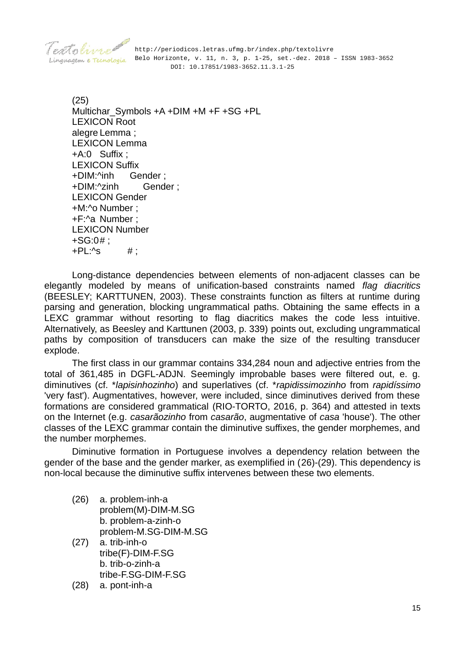<span id="page-14-0"></span>(25) Multichar Symbols +A +DIM +M +F +SG +PL LEXICON Root alegre Lemma ; LEXICON Lemma +A:0 Suffix ; LEXICON Suffix +DIM:^inh Gender ; +DIM:^zinh Gender ; LEXICON Gender +M:^o Number ; +F:^a Number ; LEXICON Number +SG:0# ;  $+PL:^s$  #;

Long-distance dependencies between elements of non-adjacent classes can be elegantly modeled by means of unification-based constraints named *flag diacritics* (BEESLEY; KARTTUNEN, 2003). These constraints function as filters at runtime during parsing and generation, blocking ungrammatical paths. Obtaining the same effects in a LEXC grammar without resorting to flag diacritics makes the code less intuitive. Alternatively, as Beesley and Karttunen (2003, p. 339) points out, excluding ungrammatical paths by composition of transducers can make the size of the resulting transducer explode.

The first class in our grammar contains 334,284 noun and adjective entries from the total of 361,485 in DGFL-ADJN. Seemingly improbable bases were filtered out, e. g. diminutives (cf. \**lapisinhozinho*) and superlatives (cf. \**rapidissimozinho* from *rapidíssimo* 'very fast'). Augmentatives, however, were included, since diminutives derived from these formations are considered grammatical (RIO-TORTO, 2016, p. 364) and attested in texts on the Internet (e.g. *casarãozinho* from *casarão*, augmentative of *casa* 'house'). The other classes of the LEXC grammar contain the diminutive suffixes, the gender morphemes, and the number morphemes.

Diminutive formation in Portuguese involves a dependency relation between the gender of the base and the gender marker, as exemplified in ([26](#page-14-1))-[\(29](#page-15-0)). This dependency is non-local because the diminutive suffix intervenes between these two elements.

- <span id="page-14-1"></span>(26) a. problem-inh-a problem(M)-DIM-M.SG b. problem-a-zinh-o problem-M.SG-DIM-M.SG
- <span id="page-14-2"></span>(27) a. trib-inh-o tribe(F)-DIM-F.SG b. trib-o-zinh-a tribe-F.SG-DIM-F.SG
- <span id="page-14-3"></span>(28) a. pont-inh-a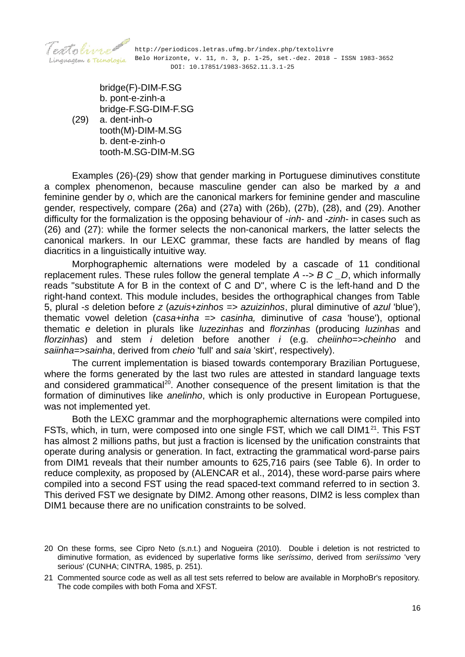

bridge(F)-DIM-F.SG b. pont-e-zinh-a bridge-F.SG-DIM-F.SG (29) a. dent-inh-o tooth(M)-DIM-M.SG b. dent-e-zinh-o

<span id="page-15-0"></span>tooth-M.SG-DIM-M.SG

Examples [\(26](#page-14-1))-[\(29\)](#page-15-0) show that gender marking in Portuguese diminutives constitute a complex phenomenon, because masculine gender can also be marked by *a* and feminine gender by *o*, which are the canonical markers for feminine gender and masculine gender, respectively, compare ([26](#page-14-1)a) and ([27](#page-14-2)a) with ([26](#page-14-1)b), ([27](#page-14-2)b), [\(28\)](#page-14-3), and ([29](#page-15-0)). Another difficulty for the formalization is the opposing behaviour of -*inh*- and -*zinh*- in cases such as ([26](#page-14-1)) and [\(27](#page-14-2)): while the former selects the non-canonical markers, the latter selects the canonical markers. In our LEXC grammar, these facts are handled by means of flag diacritics in a linguistically intuitive way.

Morphographemic alternations were modeled by a cascade of 11 conditional replacement rules. These rules follow the general template *A --> B C \_D*, which informally reads "substitute A for B in the context of C and D", where C is the left-hand and D the right-hand context. This module includes, besides the orthographical changes from Table [5](#page-13-0), plural -*s* deletion before *z* (*azuis+zinhos => azuizinhos*, plural diminutive of *azul* 'blue'), thematic vowel deletion (*casa+inha => casinha,* diminutive of *casa* 'house'), optional thematic *e* deletion in plurals like *luzezinhas* and *florzinhas* (producing *luzinhas* and *florzinhas*) and stem *i* deletion before another *i* (e.g. *cheiinho*=>*cheinho* and *saiinha*=>*sainha*, derived from *cheio* 'full' and *saia* 'skirt', respectively).

The current implementation is biased towards contemporary Brazilian Portuguese, where the forms generated by the last two rules are attested in standard language texts and considered grammatical<sup>[20](#page-15-1)</sup>. Another consequence of the present limitation is that the formation of diminutives like *anelinho*, which is only productive in European Portuguese, was not implemented yet.

Both the LEXC grammar and the morphographemic alternations were compiled into FSTs, which, in turn, were composed into one single FST, which we call DIM1<sup>[21](#page-15-2)</sup>. This FST has almost 2 millions paths, but just a fraction is licensed by the unification constraints that operate during analysis or generation. In fact, extracting the grammatical word-parse pairs from DIM1 reveals that their number amounts to 625,716 pairs (see Table [6\)](#page-16-0). In order to reduce complexity, as proposed by (ALENCAR et al., 2014), these word-parse pairs where compiled into a second FST using the read spaced-text command referred to in section 3. This derived FST we designate by DIM2. Among other reasons, DIM2 is less complex than DIM1 because there are no unification constraints to be solved.

<span id="page-15-1"></span><sup>20</sup> On these forms, see Cipro Neto (s.n.t.) and Nogueira (2010). Double i deletion is not restricted to diminutive formation, as evidenced by superlative forms like *seríssimo*, derived from *seriíssimo* 'very serious' (CUNHA; CINTRA, 1985, p. 251).

<span id="page-15-2"></span><sup>21</sup> Commented source code as well as all test sets referred to below are available in MorphoBr's repository. The code compiles with both Foma and XFST.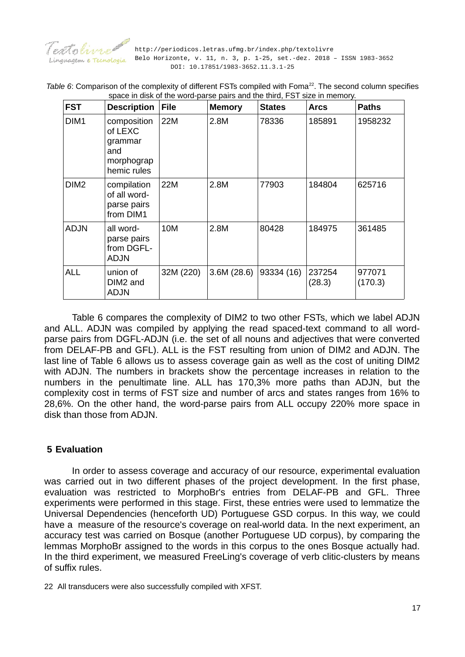

<span id="page-16-0"></span>*Table 6*: Comparison of the complexity of different FSTs compiled with Foma<sup>[22](#page-16-1)</sup>. The second column specifies space in disk of the word-parse pairs and the third, FST size in memory.

| <b>FST</b>       | <b>Description</b>                                                    | <b>File</b> | <b>Memory</b> | <b>States</b> | <b>Arcs</b>      | <b>Paths</b>      |
|------------------|-----------------------------------------------------------------------|-------------|---------------|---------------|------------------|-------------------|
| DIM1             | composition<br>of LEXC<br>grammar<br>and<br>morphograp<br>hemic rules | 22M         | 2.8M          | 78336         | 185891           | 1958232           |
| DIM <sub>2</sub> | compilation<br>of all word-<br>parse pairs<br>from DIM1               | 22M         | 2.8M          | 77903         | 184804           | 625716            |
| <b>ADJN</b>      | all word-<br>parse pairs<br>from DGFL-<br>ADJN                        | <b>10M</b>  | 2.8M          | 80428         | 184975           | 361485            |
| <b>ALL</b>       | union of<br>DIM2 and<br>ADJN                                          | 32M (220)   | 3.6M(28.6)    | 93334 (16)    | 237254<br>(28.3) | 977071<br>(170.3) |

Table [6](#page-16-0) compares the complexity of DIM2 to two other FSTs, which we label ADJN and ALL. ADJN was compiled by applying the read spaced-text command to all wordparse pairs from DGFL-ADJN (i.e. the set of all nouns and adjectives that were converted from DELAF-PB and GFL). ALL is the FST resulting from union of DIM2 and ADJN. The last line of Table [6](#page-16-0) allows us to assess coverage gain as well as the cost of uniting DIM2 with ADJN. The numbers in brackets show the percentage increases in relation to the numbers in the penultimate line. ALL has 170,3% more paths than ADJN, but the complexity cost in terms of FST size and number of arcs and states ranges from 16% to 28,6%. On the other hand, the word-parse pairs from ALL occupy 220% more space in disk than those from ADJN.

# **5 Evaluation**

In order to assess coverage and accuracy of our resource, experimental evaluation was carried out in two different phases of the project development. In the first phase, evaluation was restricted to MorphoBr's entries from DELAF-PB and GFL. Three experiments were performed in this stage. First, these entries were used to lemmatize the Universal Dependencies (henceforth UD) Portuguese GSD corpus. In this way, we could have a measure of the resource's coverage on real-world data. In the next experiment, an accuracy test was carried on Bosque (another Portuguese UD corpus), by comparing the lemmas MorphoBr assigned to the words in this corpus to the ones Bosque actually had. In the third experiment, we measured FreeLing's coverage of verb clitic-clusters by means of suffix rules.

<span id="page-16-1"></span>22 All transducers were also successfully compiled with XFST.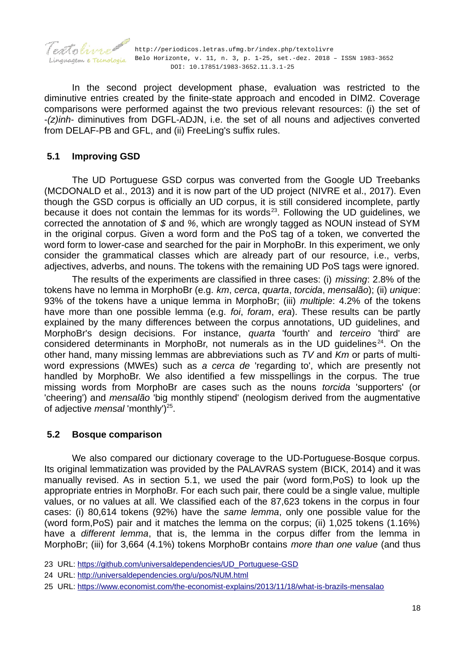

In the second project development phase, evaluation was restricted to the diminutive entries created by the finite-state approach and encoded in DIM2. Coverage comparisons were performed against the two previous relevant resources: (i) the set of -*(z)inh*- diminutives from DGFL-ADJN, i.e. the set of all nouns and adjectives converted from DELAF-PB and GFL, and (ii) FreeLing's suffix rules.

# **5.1 Improving GSD**

The UD Portuguese GSD corpus was converted from the Google UD Treebanks (MCDONALD et al., 2013) and it is now part of the UD project (NIVRE et al., 2017). Even though the GSD corpus is officially an UD corpus, it is still considered incomplete, partly because it does not contain the lemmas for its words<sup>[23](#page-17-0)</sup>. Following the UD quidelines, we corrected the annotation of *\$* and *%*, which are wrongly tagged as NOUN instead of SYM in the original corpus. Given a word form and the PoS tag of a token, we converted the word form to lower-case and searched for the pair in MorphoBr. In this experiment, we only consider the grammatical classes which are already part of our resource, i.e., verbs, adjectives, adverbs, and nouns. The tokens with the remaining UD PoS tags were ignored.

The results of the experiments are classified in three cases: (i) *missing*: 2.8% of the tokens have no lemma in MorphoBr (e.g. *km*, *cerca*, *quarta*, *torcida*, *mensalão*); (ii) *unique*: 93% of the tokens have a unique lemma in MorphoBr; (iii) *multiple*: 4.2% of the tokens have more than one possible lemma (e.g. *foi*, *foram*, *era*). These results can be partly explained by the many differences between the corpus annotations, UD guidelines, and MorphoBr's design decisions. For instance, *quarta* 'fourth' and *terceiro* 'third' are considered determinants in MorphoBr, not numerals as in the UD quidelines<sup>[24](#page-17-1)</sup>. On the other hand, many missing lemmas are abbreviations such as *TV* and *Km* or parts of multiword expressions (MWEs) such as *a cerca de* 'regarding to', which are presently not handled by MorphoBr. We also identified a few misspellings in the corpus. The true missing words from MorphoBr are cases such as the nouns *torcida* 'supporters' (or 'cheering') and *mensalão* 'big monthly stipend' (neologism derived from the augmentative of adjective *mensal* 'monthly')<sup>[25](#page-17-2)</sup>.

# **5.2 Bosque comparison**

We also compared our dictionary coverage to the UD-Portuguese-Bosque corpus. Its original lemmatization was provided by the PALAVRAS system (BICK, 2014) and it was manually revised. As in section 5.1, we used the pair (word form,PoS) to look up the appropriate entries in MorphoBr. For each such pair, there could be a single value, multiple values, or no values at all. We classified each of the 87,623 tokens in the corpus in four cases: (i) 80,614 tokens (92%) have the *same lemma*, only one possible value for the (word form,PoS) pair and it matches the lemma on the corpus; (ii) 1,025 tokens (1.16%) have a *different lemma*, that is, the lemma in the corpus differ from the lemma in MorphoBr; (iii) for 3,664 (4.1%) tokens MorphoBr contains *more than one value* (and thus

<span id="page-17-0"></span><sup>23</sup> URL: [https://github.com/universaldependencies/UD\\_Portuguese-GSD](https://github.com/universaldependencies/UD_Portuguese-GSD)

<span id="page-17-1"></span><sup>24</sup> URL:<http://universaldependencies.org/u/pos/NUM.html>

<span id="page-17-2"></span><sup>25</sup> URL:<https://www.economist.com/the-economist-explains/2013/11/18/what-is-brazils-mensalao>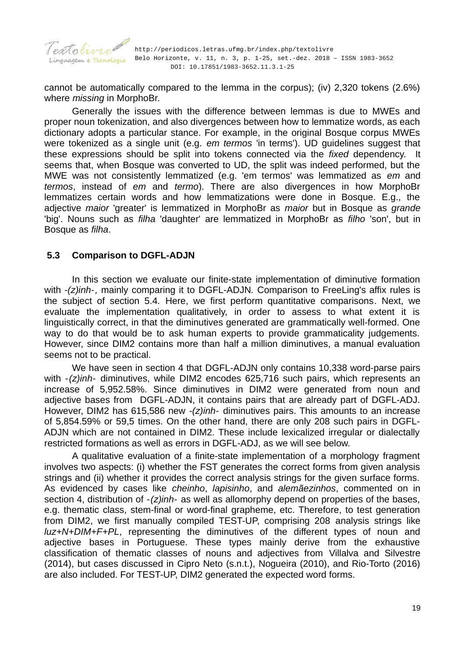

cannot be automatically compared to the lemma in the corpus); (iv) 2,320 tokens (2.6%) where *missing* in MorphoBr.

Generally the issues with the difference between lemmas is due to MWEs and proper noun tokenization, and also divergences between how to lemmatize words, as each dictionary adopts a particular stance. For example, in the original Bosque corpus MWEs were tokenized as a single unit (e.g. *em termos* 'in terms'). UD guidelines suggest that these expressions should be split into tokens connected via the *fixed* dependency. It seems that, when Bosque was converted to UD, the split was indeed performed, but the MWE was not consistently lemmatized (e.g. 'em termos' was lemmatized as *em* and *termos*, instead of *em* and *termo*). There are also divergences in how MorphoBr lemmatizes certain words and how lemmatizations were done in Bosque. E.g., the adjective *maior* 'greater' is lemmatized in MorphoBr as *maior* but in Bosque as *grande* 'big'. Nouns such as *filha* 'daughter' are lemmatized in MorphoBr as *filho* 'son', but in Bosque as *filha*.

### **5.3 Comparison to DGFL-ADJN**

In this section we evaluate our finite-state implementation of diminutive formation with -*(z)inh-,* mainly comparing it to DGFL-ADJN*.* Comparison to FreeLing's affix rules is the subject of section 5.4*.* Here, we first perform quantitative comparisons. Next, we evaluate the implementation qualitatively, in order to assess to what extent it is linguistically correct, in that the diminutives generated are grammatically well-formed. One way to do that would be to ask human experts to provide grammaticality judgements. However, since DIM2 contains more than half a million diminutives, a manual evaluation seems not to be practical.

We have seen in section 4 that DGFL-ADJN only contains 10,338 word-parse pairs with *-(z)inh-* diminutives, while DIM2 encodes 625,716 such pairs, which represents an increase of 5,952.58%. Since diminutives in DIM2 were generated from noun and adjective bases from DGFL-ADJN, it contains pairs that are already part of DGFL-ADJ. However, DIM2 has 615,586 new -*(z)inh-* diminutives pairs. This amounts to an increase of 5,854.59% or 59,5 times. On the other hand, there are only 208 such pairs in DGFL-ADJN which are not contained in DIM2. These include lexicalized irregular or dialectally restricted formations as well as errors in DGFL-ADJ, as we will see below.

A qualitative evaluation of a finite-state implementation of a morphology fragment involves two aspects: (i) whether the FST generates the correct forms from given analysis strings and (ii) whether it provides the correct analysis strings for the given surface forms. As evidenced by cases like *cheinho*, *lapisinho*, and *alemãezinhos*, commented on in section 4, distribution of *-(z)inh-* as well as allomorphy depend on properties of the bases, e.g. thematic class, stem-final or word-final grapheme, etc. Therefore, to test generation from DIM2, we first manually compiled TEST-UP, comprising 208 analysis strings like *luz+N+DIM+F+PL*, representing the diminutives of the different types of noun and adjective bases in Portuguese. These types mainly derive from the exhaustive classification of thematic classes of nouns and adjectives from Villalva and Silvestre (2014), but cases discussed in Cipro Neto (s.n.t.), Nogueira (2010), and Rio-Torto (2016) are also included. For TEST-UP, DIM2 generated the expected word forms.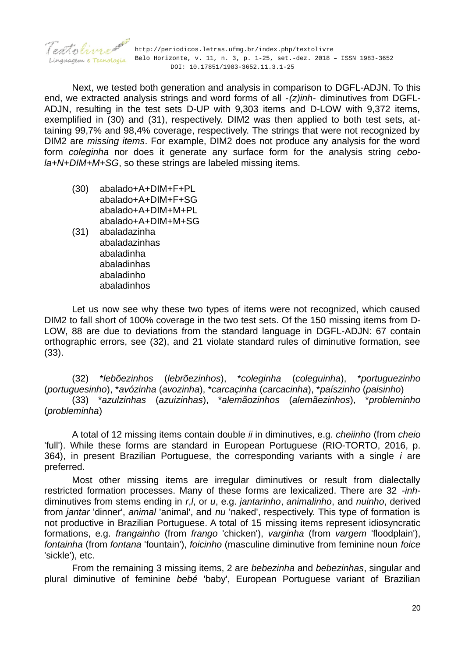

 $\int \mathcal{L} \mathcal{L}$   $\mathcal{L}$   $\mathcal{L}$   $\mathcal{L}$   $\mathcal{L}$   $\mathcal{L}$   $\mathcal{L}$   $\mathcal{L}$   $\mathcal{L}$   $\mathcal{L}$   $\mathcal{L}$   $\mathcal{L}$   $\mathcal{L}$   $\mathcal{L}$   $\mathcal{L}$   $\mathcal{L}$   $\mathcal{L}$   $\mathcal{L}$   $\mathcal{L}$   $\mathcal{L}$   $\mathcal{L}$   $\mathcal{L}$   $\mathcal{L}$   $\mathcal{L$ nguagem e Tecnologia Belo Horizonte, v. 11, n. 3, p. 1-25, set.-dez. 2018 - ISSN 1983-3652 DOI: 10.17851/1983-3652.11.3.1-25

Next, we tested both generation and analysis in comparison to DGFL-ADJN. To this end, we extracted analysis strings and word forms of all *-(z)inh-* diminutives from DGFL-ADJN, resulting in the test sets D-UP with 9,303 items and D-LOW with 9,372 items, exemplified in ([30](#page-19-3)) and ([31](#page-19-2)), respectively. DIM2 was then applied to both test sets, attaining 99,7% and 98,4% coverage, respectively. The strings that were not recognized by DIM2 are *missing items*. For example, DIM2 does not produce any analysis for the word form *coleginha* nor does it generate any surface form for the analysis string *cebola+N+DIM+M+SG*, so these strings are labeled missing items*.* 

- <span id="page-19-3"></span>(30) abalado+A+DIM+F+PL abalado+A+DIM+F+SG abalado+A+DIM+M+PL abalado+A+DIM+M+SG
- <span id="page-19-2"></span>(31) abaladazinha abaladazinhas abaladinha abaladinhas abaladinho abaladinhos

Let us now see why these two types of items were not recognized, which caused DIM2 to fall short of 100% coverage in the two test sets. Of the 150 missing items from D-LOW, 88 are due to deviations from the standard language in DGFL-ADJN: 67 contain orthographic errors, see ([32\)](#page-19-1), and 21 violate standard rules of diminutive formation, see ([33](#page-19-0)).

<span id="page-19-1"></span>(32) \**lebõezinhos* (*lebrõezinhos*), \**coleginha* (*coleguinha*), \**portuguezinho* (*portuguesinho*), \**avózinha* (*avozinha*), \**carcaçinha* (*carcacinha*), \**paíszinho* (*paisinho*)

<span id="page-19-0"></span>(33) \**azulzinhas* (*azuizinhas*), \**alemãozinhos* (*alemãezinhos*), \**probleminho* (*probleminha*)

A total of 12 missing items contain double *ii* in diminutives, e.g. *cheiinho* (from *cheio* 'full'). While these forms are standard in European Portuguese (RIO-TORTO, 2016, p. 364), in present Brazilian Portuguese, the corresponding variants with a single *i* are preferred.

Most other missing items are irregular diminutives or result from dialectally restricted formation processes. Many of these forms are lexicalized. There are 32 -*inh*diminutives from stems ending in *r*,*l*, or *u*, e.g. *jantarinho*, *animalinho*, and *nuinho*, derived from *jantar* 'dinner', *animal* 'animal', and *nu* 'naked', respectively. This type of formation is not productive in Brazilian Portuguese. A total of 15 missing items represent idiosyncratic formations, e.g. *frangainho* (from *frango* 'chicken'), *varginha* (from *vargem* 'floodplain'), *fontainha* (from *fontana* 'fountain'), *foicinho* (masculine diminutive from feminine noun *foice* 'sickle'), etc.

From the remaining 3 missing items, 2 are *bebezinha* and *bebezinhas*, singular and plural diminutive of feminine *bebé* 'baby', European Portuguese variant of Brazilian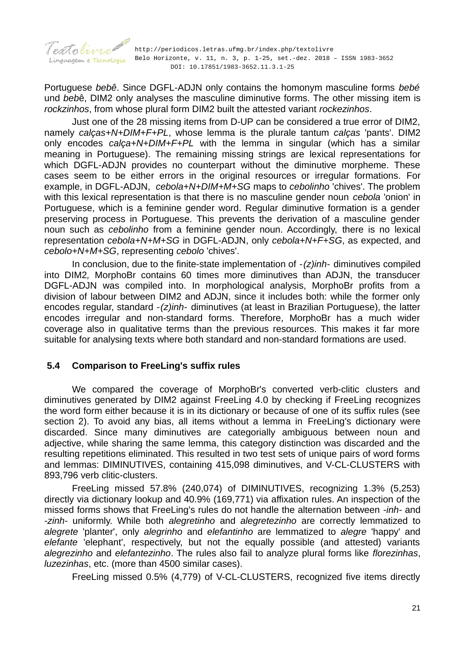

Portuguese *bebê*. Since DGFL-ADJN only contains the homonym masculine forms *bebé* und *beb*ê, DIM2 only analyses the masculine diminutive forms. The other missing item is *rockzinhos*, from whose plural form DIM2 built the attested variant *rockezinhos*.

Just one of the 28 missing items from D-UP can be considered a true error of DIM2, namely *calças+N+DIM+F+PL*, whose lemma is the plurale tantum *calças* 'pants'. DIM2 only encodes *calça+N+DIM+F+PL* with the lemma in singular (which has a similar meaning in Portuguese). The remaining missing strings are lexical representations for which DGFL-ADJN provides no counterpart without the diminutive morpheme. These cases seem to be either errors in the original resources or irregular formations. For example, in DGFL-ADJN, *cebola+N+DIM+M+SG* maps to *cebolinho* 'chives'. The problem with this lexical representation is that there is no masculine gender noun *cebola* 'onion' in Portuguese, which is a feminine gender word. Regular diminutive formation is a gender preserving process in Portuguese. This prevents the derivation of a masculine gender noun such as *cebolinho* from a feminine gender noun. Accordingly, there is no lexical representation *cebola+N+M+SG* in DGFL-ADJN, only *cebola+N+F+SG*, as expected, and *cebolo+N+M+SG*, representing *cebolo* 'chives'.

In conclusion, due to the finite-state implementation of *-(z)inh-* diminutives compiled into DIM2*,* MorphoBr contains 60 times more diminutives than ADJN, the transducer DGFL-ADJN was compiled into. In morphological analysis, MorphoBr profits from a division of labour between DIM2 and ADJN, since it includes both: while the former only encodes regular, standard *-(z)inh-* diminutives (at least in Brazilian Portuguese), the latter encodes irregular and non-standard forms. Therefore, MorphoBr has a much wider coverage also in qualitative terms than the previous resources. This makes it far more suitable for analysing texts where both standard and non-standard formations are used.

# **5.4 Comparison to FreeLing's suffix rules**

We compared the coverage of MorphoBr's converted verb-clitic clusters and diminutives generated by DIM2 against FreeLing 4.0 by checking if FreeLing recognizes the word form either because it is in its dictionary or because of one of its suffix rules (see section 2). To avoid any bias, all items without a lemma in FreeLing's dictionary were discarded. Since many diminutives are categorially ambiguous between noun and adjective, while sharing the same lemma, this category distinction was discarded and the resulting repetitions eliminated. This resulted in two test sets of unique pairs of word forms and lemmas: DIMINUTIVES, containing 415,098 diminutives, and V-CL-CLUSTERS with 893,796 verb clitic-clusters.

FreeLing missed 57.8% (240,074) of DIMINUTIVES, recognizing 1.3% (5,253) directly via dictionary lookup and 40.9% (169,771) via affixation rules. An inspection of the missed forms shows that FreeLing's rules do not handle the alternation between *-inh-* and *-zinh-* uniformly. While both *alegretinho* and *alegretezinho* are correctly lemmatized to *alegrete* 'planter', only *alegrinho* and *elefantinho* are lemmatized to *alegre* 'happy' and *elefante* 'elephant', respectively, but not the equally possible (and attested) variants *alegrezinho* and *elefantezinho*. The rules also fail to analyze plural forms like *florezinhas*, *luzezinhas*, etc. (more than 4500 similar cases).

FreeLing missed 0.5% (4,779) of V-CL-CLUSTERS, recognized five items directly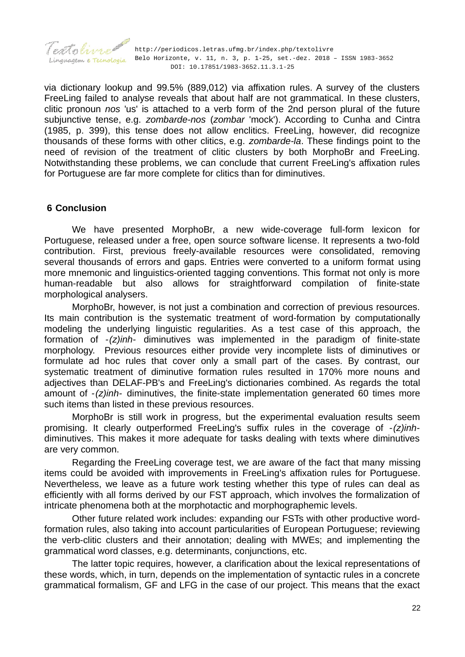

via dictionary lookup and 99.5% (889,012) via affixation rules. A survey of the clusters FreeLing failed to analyse reveals that about half are not grammatical. In these clusters, clitic pronoun *nos* 'us' is attached to a verb form of the 2nd person plural of the future subjunctive tense, e.g. *zombarde-nos* (*zombar* 'mock'). According to Cunha and Cintra (1985, p. 399), this tense does not allow enclitics. FreeLing, however, did recognize thousands of these forms with other clitics, e.g. *zombarde-la*. These findings point to the need of revision of the treatment of clitic clusters by both MorphoBr and FreeLing. Notwithstanding these problems, we can conclude that current FreeLing's affixation rules for Portuguese are far more complete for clitics than for diminutives.

# **6 Conclusion**

We have presented MorphoBr, a new wide-coverage full-form lexicon for Portuguese, released under a free, open source software license. It represents a two-fold contribution. First, previous freely-available resources were consolidated, removing several thousands of errors and gaps. Entries were converted to a uniform format using more mnemonic and linguistics-oriented tagging conventions. This format not only is more human-readable but also allows for straightforward compilation of finite-state morphological analysers.

MorphoBr, however, is not just a combination and correction of previous resources. Its main contribution is the systematic treatment of word-formation by computationally modeling the underlying linguistic regularities. As a test case of this approach, the formation of *-(z)inh-* diminutives was implemented in the paradigm of finite-state morphology. Previous resources either provide very incomplete lists of diminutives or formulate ad hoc rules that cover only a small part of the cases. By contrast, our systematic treatment of diminutive formation rules resulted in 170% more nouns and adjectives than DELAF-PB's and FreeLing's dictionaries combined. As regards the total amount of *-(z)inh-* diminutives, the finite-state implementation generated 60 times more such items than listed in these previous resources.

MorphoBr is still work in progress, but the experimental evaluation results seem promising. It clearly outperformed FreeLing's suffix rules in the coverage of *-(z)inh*diminutives. This makes it more adequate for tasks dealing with texts where diminutives are very common.

Regarding the FreeLing coverage test, we are aware of the fact that many missing items could be avoided with improvements in FreeLing's affixation rules for Portuguese. Nevertheless, we leave as a future work testing whether this type of rules can deal as efficiently with all forms derived by our FST approach, which involves the formalization of intricate phenomena both at the morphotactic and morphographemic levels.

Other future related work includes: expanding our FSTs with other productive wordformation rules, also taking into account particularities of European Portuguese; reviewing the verb-clitic clusters and their annotation; dealing with MWEs; and implementing the grammatical word classes, e.g. determinants, conjunctions, etc.

The latter topic requires, however, a clarification about the lexical representations of these words, which, in turn, depends on the implementation of syntactic rules in a concrete grammatical formalism, GF and LFG in the case of our project. This means that the exact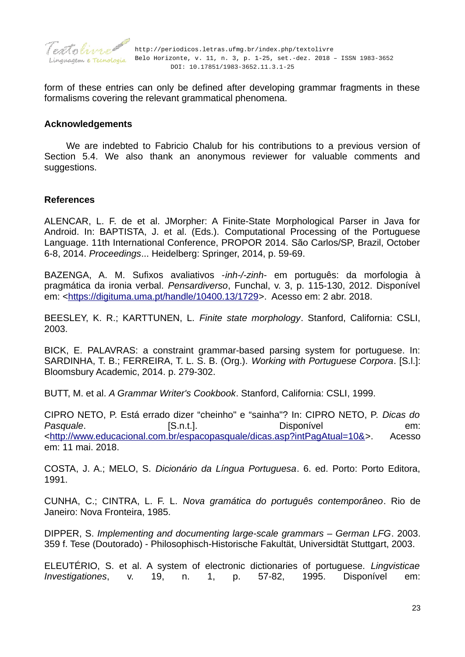

form of these entries can only be defined after developing grammar fragments in these formalisms covering the relevant grammatical phenomena.

#### **Acknowledgements**

We are indebted to Fabricio Chalub for his contributions to a previous version of Section 5.4. We also thank an anonymous reviewer for valuable comments and suggestions.

### **References**

ALENCAR, L. F. de et al. JMorpher: A Finite-State Morphological Parser in Java for Android. In: BAPTISTA, J. et al. (Eds.). Computational Processing of the Portuguese Language. 11th International Conference, PROPOR 2014. São Carlos/SP, Brazil, October 6-8, 2014. *Proceedings*... Heidelberg: Springer, 2014, p. 59-69.

BAZENGA, A. M. Sufixos avaliativos -*inh-/-zinh*- em português: da morfologia à pragmática da ironia verbal. *Pensardiverso*, Funchal, v. 3, p. 115-130, 2012. Disponível em: [<https://digituma.uma.pt/handle/10400.13/1729](https://digituma.uma.pt/handle/10400.13/1729)>. Acesso em: 2 abr. 2018.

BEESLEY, K. R.; KARTTUNEN, L. *Finite state morphology*. Stanford, California: CSLI, 2003.

BICK, E. PALAVRAS: a constraint grammar-based parsing system for portuguese. In: SARDINHA, T. B.; FERREIRA, T. L. S. B. (Org.). *Working with Portuguese Corpora*. [S.l.]: Bloomsbury Academic, 2014. p. 279-302.

BUTT, M. et al. *A Grammar Writer's Cookbook*. Stanford, California: CSLI, 1999.

CIPRO NETO, P. Está errado dizer "cheinho" e "sainha"? In: CIPRO NETO, P. *Dicas do* Pasquale. **Example 19 IS.n.t.**]. **Consumers Example 2** is Disponível **em: em: em:** <[http://www.educacional.com.br/espacopasquale/dicas.asp?intPagAtual=10&>](http://www.educacional.com.br/espacopasquale/dicas.asp?intPagAtual=10&). Acesso em: 11 mai. 2018.

COSTA, J. A.; MELO, S. *Dicionário da Língua Portuguesa*. 6. ed. Porto: Porto Editora, 1991.

CUNHA, C.; CINTRA, L. F. L. *Nova gramática do português contemporâneo*. Rio de Janeiro: Nova Fronteira, 1985.

DIPPER, S. *Implementing and documenting large-scale grammars – German LFG*. 2003. 359 f. Tese (Doutorado) - Philosophisch-Historische Fakultät, Universidtät Stuttgart, 2003.

ELEUTÉRIO, S. et al. A system of electronic dictionaries of portuguese. *Lingvisticae Investigationes*, v. 19, n. 1, p. 57-82, 1995. Disponível em: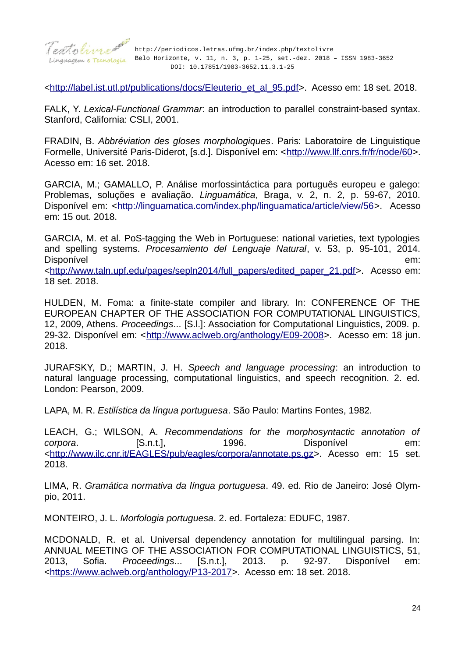

<[http://label.ist.utl.pt/publications/docs/Eleuterio\\_et\\_al\\_95.pdf>](http://label.ist.utl.pt/publications/docs/Eleuterio_et_al_95.pdf). Acesso em: 18 set. 2018.

FALK, Y. *Lexical-Functional Grammar*: an introduction to parallel constraint-based syntax. Stanford, California: CSLI, 2001.

FRADIN, B. *Abbréviation des gloses morphologiques*. Paris: Laboratoire de Linguistique Formelle, Université Paris-Diderot, [s.d.]. Disponível em: <<http://www.llf.cnrs.fr/fr/node/60>>. Acesso em: 16 set. 2018.

GARCIA, M.; GAMALLO, P. Análise morfossintáctica para português europeu e galego: Problemas, soluções e avaliação. *Linguamática*, Braga, v. 2, n. 2, p. 59-67, 2010. Disponível em: [<http://linguamatica.com/index.php/linguamatica/article/view/56](http://linguamatica.com/index.php/linguamatica/article/view/56)>. Acesso em: 15 out. 2018.

GARCIA, M. et al. PoS-tagging the Web in Portuguese: national varieties, text typologies and spelling systems. *Procesamiento del Lenguaje Natural*, v. 53, p. 95-101, 2014. Disponível em:

<[http://www.taln.upf.edu/pages/sepln2014/full\\_papers/edited\\_paper\\_21.pdf](http://www.taln.upf.edu/pages/sepln2014/full_papers/edited_paper_21.pdf)>. Acesso em: 18 set. 2018.

HULDEN, M. Foma: a finite-state compiler and library. In: CONFERENCE OF THE EUROPEAN CHAPTER OF THE ASSOCIATION FOR COMPUTATIONAL LINGUISTICS, 12, 2009, Athens. *Proceedings*... [S.l.]: Association for Computational Linguistics, 2009. p. 29-32. Disponível em: [<http://www.aclweb.org/anthology/E09-2008>](http://www.aclweb.org/anthology/E09-2008). Acesso em: 18 jun. 2018.

JURAFSKY, D.; MARTIN, J. H. *Speech and language processing*: an introduction to natural language processing, computational linguistics, and speech recognition. 2. ed. London: Pearson, 2009.

LAPA, M. R. *Estilística da língua portuguesa*. São Paulo: Martins Fontes, 1982.

LEACH, G.; WILSON, A. *Recommendations for the morphosyntactic annotation of corpora*. [S.n.t.], 1996. Disponível em: <<http://www.ilc.cnr.it/EAGLES/pub/eagles/corpora/annotate.ps.gz>>. Acesso em: 15 set. 2018.

LIMA, R. *Gramática normativa da língua portuguesa*. 49. ed. Rio de Janeiro: José Olympio, 2011.

MONTEIRO, J. L. *Morfologia portuguesa*. 2. ed. Fortaleza: EDUFC, 1987.

MCDONALD, R. et al. Universal dependency annotation for multilingual parsing. In: ANNUAL MEETING OF THE ASSOCIATION FOR COMPUTATIONAL LINGUISTICS, 51, 2013, Sofia. *Proceedings*... [S.n.t.], 2013. p. 92-97. Disponível em: <<https://www.aclweb.org/anthology/P13-2017>>. Acesso em: 18 set. 2018.